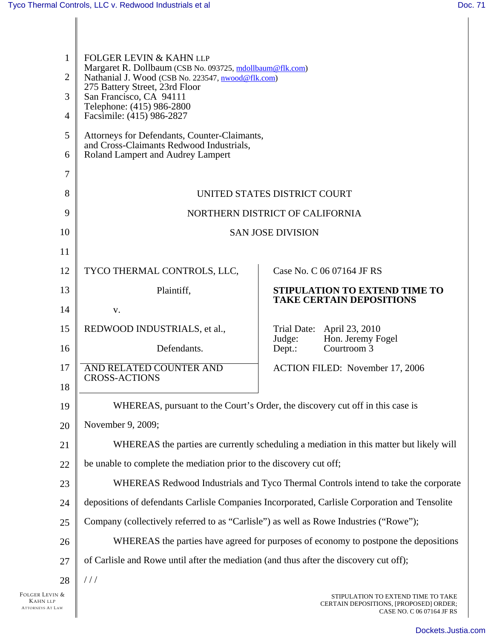| 1<br>$\overline{2}$<br>3<br>$\overline{4}$<br>5<br>6<br>7<br>8 | <b>FOLGER LEVIN &amp; KAHN LLP</b><br>Margaret R. Dollbaum (CSB No. 093725, mdollbaum@flk.com)<br>Nathanial J. Wood (CSB No. 223547, nwood@flk.com)<br>275 Battery Street, 23rd Floor<br>San Francisco, CA 94111<br>Telephone: (415) 986-2800<br>Facsimile: (415) 986-2827<br>Attorneys for Defendants, Counter-Claimants,<br>and Cross-Claimants Redwood Industrials,<br>Roland Lampert and Audrey Lampert |                                                                                                           |  |
|----------------------------------------------------------------|-------------------------------------------------------------------------------------------------------------------------------------------------------------------------------------------------------------------------------------------------------------------------------------------------------------------------------------------------------------------------------------------------------------|-----------------------------------------------------------------------------------------------------------|--|
| 9                                                              | UNITED STATES DISTRICT COURT                                                                                                                                                                                                                                                                                                                                                                                |                                                                                                           |  |
| 10                                                             | NORTHERN DISTRICT OF CALIFORNIA<br><b>SAN JOSE DIVISION</b>                                                                                                                                                                                                                                                                                                                                                 |                                                                                                           |  |
| 11                                                             |                                                                                                                                                                                                                                                                                                                                                                                                             |                                                                                                           |  |
| 12                                                             | TYCO THERMAL CONTROLS, LLC,                                                                                                                                                                                                                                                                                                                                                                                 | Case No. C 06 07164 JF RS                                                                                 |  |
| 13                                                             | Plaintiff,                                                                                                                                                                                                                                                                                                                                                                                                  | STIPULATION TO EXTEND TIME TO                                                                             |  |
| 14                                                             | V.                                                                                                                                                                                                                                                                                                                                                                                                          | <b>TAKE CERTAIN DEPOSITIONS</b>                                                                           |  |
| 15                                                             | REDWOOD INDUSTRIALS, et al.,                                                                                                                                                                                                                                                                                                                                                                                | Trial Date: April 23, 2010                                                                                |  |
| 16                                                             | Defendants.                                                                                                                                                                                                                                                                                                                                                                                                 | Hon. Jeremy Fogel<br>Judge:<br>Courtroom <sub>3</sub><br>Dept.:                                           |  |
| 17                                                             | AND RELATED COUNTER AND                                                                                                                                                                                                                                                                                                                                                                                     | <b>ACTION FILED:</b> November 17, 2006                                                                    |  |
| 18                                                             | <b>CROSS-ACTIONS</b>                                                                                                                                                                                                                                                                                                                                                                                        |                                                                                                           |  |
| 19                                                             | WHEREAS, pursuant to the Court's Order, the discovery cut off in this case is                                                                                                                                                                                                                                                                                                                               |                                                                                                           |  |
| 20                                                             | November 9, 2009;                                                                                                                                                                                                                                                                                                                                                                                           |                                                                                                           |  |
| 21                                                             | WHEREAS the parties are currently scheduling a mediation in this matter but likely will                                                                                                                                                                                                                                                                                                                     |                                                                                                           |  |
| 22                                                             | be unable to complete the mediation prior to the discovery cut off;                                                                                                                                                                                                                                                                                                                                         |                                                                                                           |  |
| 23                                                             | WHEREAS Redwood Industrials and Tyco Thermal Controls intend to take the corporate                                                                                                                                                                                                                                                                                                                          |                                                                                                           |  |
| 24                                                             | depositions of defendants Carlisle Companies Incorporated, Carlisle Corporation and Tensolite                                                                                                                                                                                                                                                                                                               |                                                                                                           |  |
| 25                                                             | Company (collectively referred to as "Carlisle") as well as Rowe Industries ("Rowe");                                                                                                                                                                                                                                                                                                                       |                                                                                                           |  |
| 26                                                             | WHEREAS the parties have agreed for purposes of economy to postpone the depositions                                                                                                                                                                                                                                                                                                                         |                                                                                                           |  |
| 27                                                             | of Carlisle and Rowe until after the mediation (and thus after the discovery cut off);                                                                                                                                                                                                                                                                                                                      |                                                                                                           |  |
| 28                                                             | //                                                                                                                                                                                                                                                                                                                                                                                                          |                                                                                                           |  |
| Folger Levin &<br><b>KAHN LLP</b><br><b>ATTORNEYS AT LAW</b>   |                                                                                                                                                                                                                                                                                                                                                                                                             | STIPULATION TO EXTEND TIME TO TAKE<br>CERTAIN DEPOSITIONS, [PROPOSED] ORDER;<br>CASE NO. C 06 07164 JF RS |  |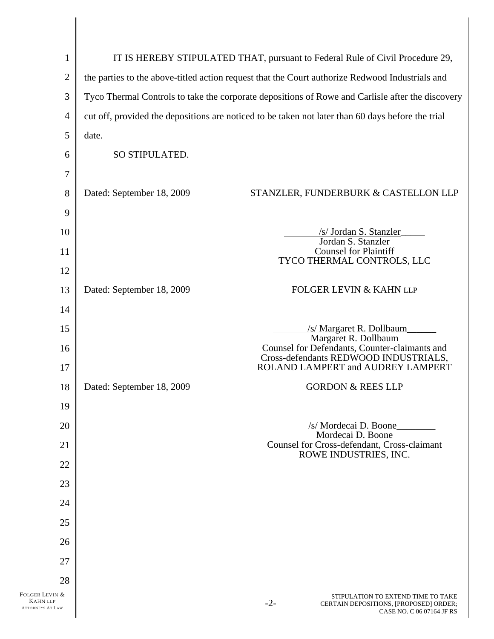| $\mathbf{1}$                                                 |                                                                                                   | IT IS HEREBY STIPULATED THAT, pursuant to Federal Rule of Civil Procedure 29,                                      |  |
|--------------------------------------------------------------|---------------------------------------------------------------------------------------------------|--------------------------------------------------------------------------------------------------------------------|--|
| $\overline{2}$                                               | the parties to the above-titled action request that the Court authorize Redwood Industrials and   |                                                                                                                    |  |
| 3                                                            | Tyco Thermal Controls to take the corporate depositions of Rowe and Carlisle after the discovery  |                                                                                                                    |  |
| $\overline{4}$                                               | cut off, provided the depositions are noticed to be taken not later than 60 days before the trial |                                                                                                                    |  |
| 5                                                            | date.                                                                                             |                                                                                                                    |  |
| 6                                                            | SO STIPULATED.                                                                                    |                                                                                                                    |  |
| $\tau$                                                       |                                                                                                   |                                                                                                                    |  |
| 8                                                            | Dated: September 18, 2009                                                                         | STANZLER, FUNDERBURK & CASTELLON LLP                                                                               |  |
| 9                                                            |                                                                                                   |                                                                                                                    |  |
| 10                                                           |                                                                                                   | /s/ Jordan S. Stanzler<br>Jordan S. Stanzler                                                                       |  |
| 11                                                           |                                                                                                   | <b>Counsel for Plaintiff</b>                                                                                       |  |
| 12                                                           |                                                                                                   | TYCO THERMAL CONTROLS, LLC                                                                                         |  |
| 13                                                           | Dated: September 18, 2009                                                                         | <b>FOLGER LEVIN &amp; KAHN LLP</b>                                                                                 |  |
| 14                                                           |                                                                                                   |                                                                                                                    |  |
| 15                                                           |                                                                                                   | /s/ Margaret R. Dollbaum<br>Margaret R. Dollbaum                                                                   |  |
| 16                                                           |                                                                                                   | Counsel for Defendants, Counter-claimants and<br>Cross-defendants REDWOOD INDUSTRIALS,                             |  |
| 17                                                           |                                                                                                   | ROLAND LAMPERT and AUDREY LAMPERT                                                                                  |  |
| 18                                                           | Dated: September 18, 2009                                                                         | <b>GORDON &amp; REES LLP</b>                                                                                       |  |
| 19                                                           |                                                                                                   |                                                                                                                    |  |
| 20                                                           |                                                                                                   | /s/ Mordecai D. Boone<br>Mordecai D. Boone                                                                         |  |
| 21                                                           |                                                                                                   | <b>Counsel for Cross-defendant, Cross-claimant</b><br>ROWE INDUSTRIES, INC.                                        |  |
| 22                                                           |                                                                                                   |                                                                                                                    |  |
| 23                                                           |                                                                                                   |                                                                                                                    |  |
| 24                                                           |                                                                                                   |                                                                                                                    |  |
| 25                                                           |                                                                                                   |                                                                                                                    |  |
| 26                                                           |                                                                                                   |                                                                                                                    |  |
| 27                                                           |                                                                                                   |                                                                                                                    |  |
| 28                                                           |                                                                                                   |                                                                                                                    |  |
| Folger Levin &<br><b>KAHN LLP</b><br><b>ATTORNEYS AT LAW</b> |                                                                                                   | STIPULATION TO EXTEND TIME TO TAKE<br>$-2-$<br>CERTAIN DEPOSITIONS, [PROPOSED] ORDER;<br>CASE NO. C 06 07164 JF RS |  |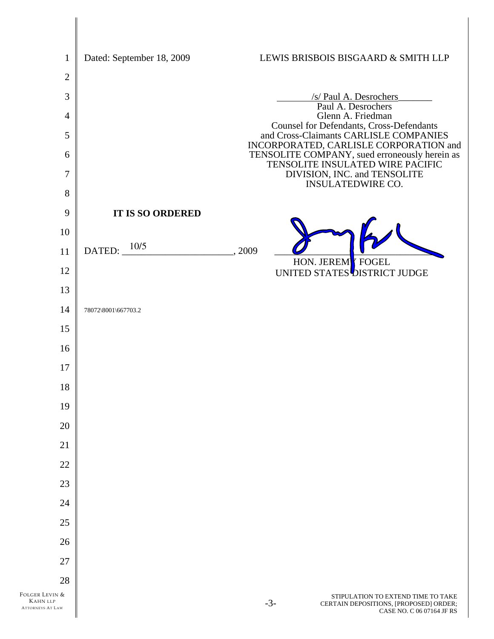| $\mathbf{1}$                                                 | Dated: September 18, 2009 |      | LEWIS BRISBOIS BISGAARD & SMITH LLP                                                                                |
|--------------------------------------------------------------|---------------------------|------|--------------------------------------------------------------------------------------------------------------------|
| $\sqrt{2}$                                                   |                           |      |                                                                                                                    |
| $\mathfrak{Z}$                                               |                           |      | /s/ Paul A. Desrochers<br>Paul A. Desrochers                                                                       |
| $\overline{4}$                                               |                           |      | Glenn A. Friedman<br>Counsel for Defendants, Cross-Defendants                                                      |
| $\mathfrak{S}$                                               |                           |      | and Cross-Claimants CARLISLE COMPANIES<br>INCORPORATED, CARLISLE CORPORATION and                                   |
| 6                                                            |                           |      | TENSOLITE COMPANY, sued erroneously herein as<br>TENSOLITE INSULATED WIRE PACIFIC                                  |
| $\overline{7}$                                               |                           |      | DIVISION, INC. and TENSOLITE<br><b>INSULATEDWIRE CO.</b>                                                           |
| 8                                                            |                           |      |                                                                                                                    |
| 9                                                            | <b>IT IS SO ORDERED</b>   |      |                                                                                                                    |
| 10                                                           |                           |      |                                                                                                                    |
| 11                                                           | DATED: $10/5$             | 2009 | HON. JEREM <sup>Y</sup> FOGEL                                                                                      |
| 12                                                           |                           |      | UNITED STATES <sup>DISTRICT</sup> JUDGE                                                                            |
| 13<br>14                                                     |                           |      |                                                                                                                    |
| 15                                                           | 78072\8001\667703.2       |      |                                                                                                                    |
| 16                                                           |                           |      |                                                                                                                    |
| 17                                                           |                           |      |                                                                                                                    |
| 18                                                           |                           |      |                                                                                                                    |
| 19                                                           |                           |      |                                                                                                                    |
| 20                                                           |                           |      |                                                                                                                    |
| 21                                                           |                           |      |                                                                                                                    |
| 22                                                           |                           |      |                                                                                                                    |
| 23                                                           |                           |      |                                                                                                                    |
| 24                                                           |                           |      |                                                                                                                    |
| 25                                                           |                           |      |                                                                                                                    |
| 26                                                           |                           |      |                                                                                                                    |
| 27                                                           |                           |      |                                                                                                                    |
| 28                                                           |                           |      |                                                                                                                    |
| FOLGER LEVIN &<br><b>KAHN LLP</b><br><b>ATTORNEYS AT LAW</b> |                           |      | STIPULATION TO EXTEND TIME TO TAKE<br>$-3-$<br>CERTAIN DEPOSITIONS, [PROPOSED] ORDER;<br>CASE NO. C 06 07164 JF RS |